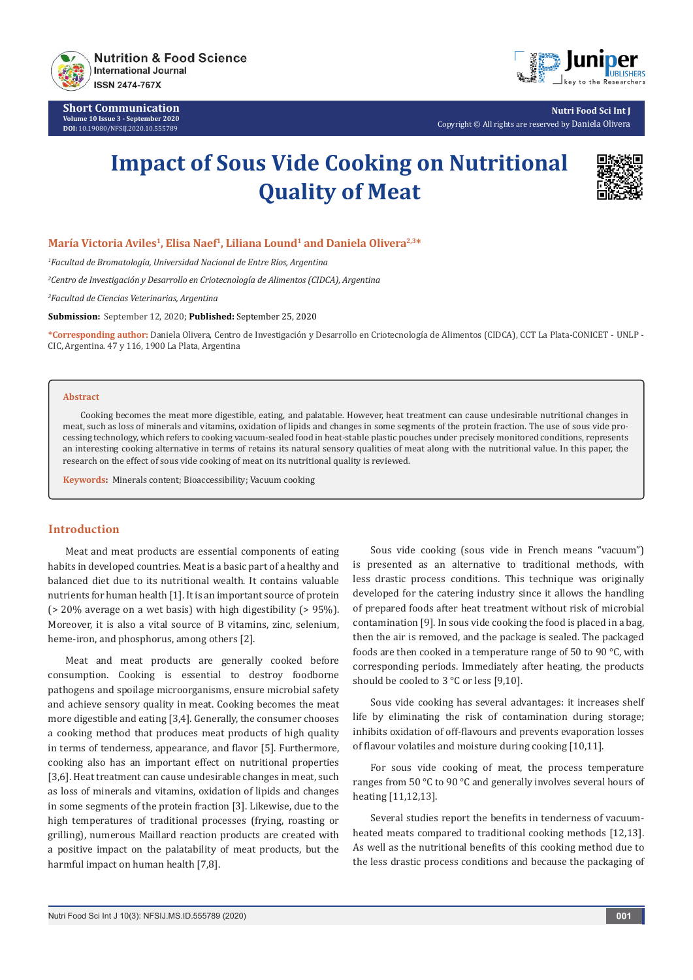

**Short Communication Volume 10 Issue 3 - September 2020 DOI:** [10.19080/NFSIJ.2020.10.5557](http://dx.doi.org/10.19080/NFSIJ.2020.10.555789)89



**Nutri Food Sci Int J** Copyright © All rights are reserved by Daniela Olivera

# **Impact of Sous Vide Cooking on Nutritional Quality of Meat**



## María Victoria Aviles<sup>1</sup>, Elisa Naef<sup>1</sup>, Liliana Lound<sup>1</sup> and Daniela Olivera<sup>2,3\*</sup>

*1 Facultad de Bromatología, Universidad Nacional de Entre Ríos, Argentina*

*2 Centro de Investigación y Desarrollo en Criotecnología de Alimentos (CIDCA), Argentina*

*3 Facultad de Ciencias Veterinarias, Argentina*

**Submission:** September 12, 2020; **Published:** September 25, 2020

**\*Corresponding author:** Daniela Olivera, Centro de Investigación y Desarrollo en Criotecnología de Alimentos (CIDCA), CCT La Plata-CONICET - UNLP - CIC, Argentina. 47 y 116, 1900 La Plata, Argentina

#### **Abstract**

Cooking becomes the meat more digestible, eating, and palatable. However, heat treatment can cause undesirable nutritional changes in meat, such as loss of minerals and vitamins, oxidation of lipids and changes in some segments of the protein fraction. The use of sous vide processing technology, which refers to cooking vacuum-sealed food in heat-stable plastic pouches under precisely monitored conditions, represents an interesting cooking alternative in terms of retains its natural sensory qualities of meat along with the nutritional value. In this paper, the research on the effect of sous vide cooking of meat on its nutritional quality is reviewed.

**Keywords:** Minerals content; Bioaccessibility; Vacuum cooking

## **Introduction**

Meat and meat products are essential components of eating habits in developed countries. Meat is a basic part of a healthy and balanced diet due to its nutritional wealth. It contains valuable nutrients for human health [1]. It is an important source of protein (> 20% average on a wet basis) with high digestibility (> 95%). Moreover, it is also a vital source of B vitamins, zinc, selenium, heme-iron, and phosphorus, among others [2].

Meat and meat products are generally cooked before consumption. Cooking is essential to destroy foodborne pathogens and spoilage microorganisms, ensure microbial safety and achieve sensory quality in meat. Cooking becomes the meat more digestible and eating [3,4]. Generally, the consumer chooses a cooking method that produces meat products of high quality in terms of tenderness, appearance, and flavor [5]. Furthermore, cooking also has an important effect on nutritional properties [3,6]. Heat treatment can cause undesirable changes in meat, such as loss of minerals and vitamins, oxidation of lipids and changes in some segments of the protein fraction [3]. Likewise, due to the high temperatures of traditional processes (frying, roasting or grilling), numerous Maillard reaction products are created with a positive impact on the palatability of meat products, but the harmful impact on human health [7,8].

Sous vide cooking (sous vide in French means "vacuum") is presented as an alternative to traditional methods, with less drastic process conditions. This technique was originally developed for the catering industry since it allows the handling of prepared foods after heat treatment without risk of microbial contamination [9]. In sous vide cooking the food is placed in a bag, then the air is removed, and the package is sealed. The packaged foods are then cooked in a temperature range of 50 to 90 °C, with corresponding periods. Immediately after heating, the products should be cooled to 3 °C or less [9,10].

Sous vide cooking has several advantages: it increases shelf life by eliminating the risk of contamination during storage; inhibits oxidation of off-flavours and prevents evaporation losses of flavour volatiles and moisture during cooking [10,11].

For sous vide cooking of meat, the process temperature ranges from 50 °C to 90 °C and generally involves several hours of heating [11,12,13].

Several studies report the benefits in tenderness of vacuumheated meats compared to traditional cooking methods [12,13]. As well as the nutritional benefits of this cooking method due to the less drastic process conditions and because the packaging of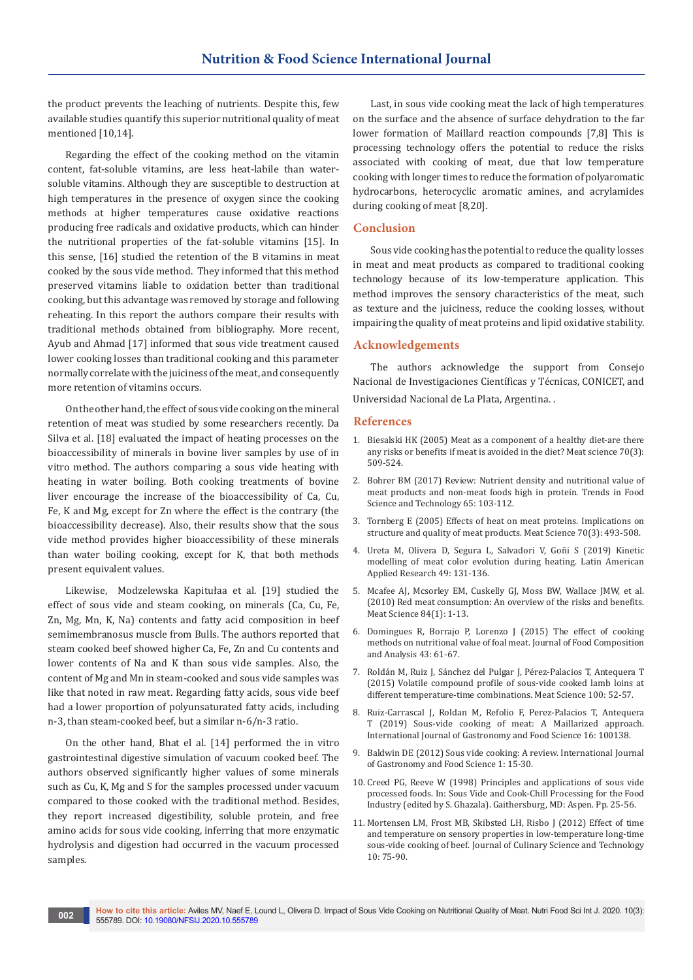the product prevents the leaching of nutrients. Despite this, few available studies quantify this superior nutritional quality of meat mentioned [10,14].

Regarding the effect of the cooking method on the vitamin content, fat-soluble vitamins, are less heat-labile than watersoluble vitamins. Although they are susceptible to destruction at high temperatures in the presence of oxygen since the cooking methods at higher temperatures cause oxidative reactions producing free radicals and oxidative products, which can hinder the nutritional properties of the fat-soluble vitamins [15]. In this sense, [16] studied the retention of the B vitamins in meat cooked by the sous vide method. They informed that this method preserved vitamins liable to oxidation better than traditional cooking, but this advantage was removed by storage and following reheating. In this report the authors compare their results with traditional methods obtained from bibliography. More recent, Ayub and Ahmad [17] informed that sous vide treatment caused lower cooking losses than traditional cooking and this parameter normally correlate with the juiciness of the meat, and consequently more retention of vitamins occurs.

On the other hand, the effect of sous vide cooking on the mineral retention of meat was studied by some researchers recently. Da Silva et al. [18] evaluated the impact of heating processes on the bioaccessibility of minerals in bovine liver samples by use of in vitro method. The authors comparing a sous vide heating with heating in water boiling. Both cooking treatments of bovine liver encourage the increase of the bioaccessibility of Ca, Cu, Fe, K and Mg, except for Zn where the effect is the contrary (the bioaccessibility decrease). Also, their results show that the sous vide method provides higher bioaccessibility of these minerals than water boiling cooking, except for K, that both methods present equivalent values.

Likewise, Modzelewska Kapitułaa et al. [19] studied the effect of sous vide and steam cooking, on minerals (Ca, Cu, Fe, Zn, Mg, Mn, K, Na) contents and fatty acid composition in beef semimembranosus muscle from Bulls. The authors reported that steam cooked beef showed higher Ca, Fe, Zn and Cu contents and lower contents of Na and K than sous vide samples. Also, the content of Mg and Mn in steam-cooked and sous vide samples was like that noted in raw meat. Regarding fatty acids, sous vide beef had a lower proportion of polyunsaturated fatty acids, including n-3, than steam-cooked beef, but a similar n-6/n-3 ratio.

On the other hand, Bhat el al. [14] performed the in vitro gastrointestinal digestive simulation of vacuum cooked beef. The authors observed significantly higher values of some minerals such as Cu, K, Mg and S for the samples processed under vacuum compared to those cooked with the traditional method. Besides, they report increased digestibility, soluble protein, and free amino acids for sous vide cooking, inferring that more enzymatic hydrolysis and digestion had occurred in the vacuum processed samples.

Last, in sous vide cooking meat the lack of high temperatures on the surface and the absence of surface dehydration to the far lower formation of Maillard reaction compounds [7,8] This is processing technology offers the potential to reduce the risks associated with cooking of meat, due that low temperature cooking with longer times to reduce the formation of polyaromatic hydrocarbons, heterocyclic aromatic amines, and acrylamides during cooking of meat [8,20].

## **Conclusion**

Sous vide cooking has the potential to reduce the quality losses in meat and meat products as compared to traditional cooking technology because of its low-temperature application. This method improves the sensory characteristics of the meat, such as texture and the juiciness, reduce the cooking losses, without impairing the quality of meat proteins and lipid oxidative stability.

### **Acknowledgements**

The authors acknowledge the support from Consejo Nacional de Investigaciones Científicas y Técnicas, CONICET, and Universidad Nacional de La Plata, Argentina. .

#### **References**

- 1. [Biesalski HK \(2005\) Meat as a component of a healthy diet-are there](https://pubmed.ncbi.nlm.nih.gov/22063749/)  [any risks or benefits if meat is avoided in the diet? Meat science 70\(3\):](https://pubmed.ncbi.nlm.nih.gov/22063749/)  [509-524.](https://pubmed.ncbi.nlm.nih.gov/22063749/)
- 2. [Bohrer BM \(2017\) Review: Nutrient density and nutritional value of](https://www.sciencedirect.com/science/article/abs/pii/S0924224417300067)  [meat products and non-meat foods high in protein. Trends in Food](https://www.sciencedirect.com/science/article/abs/pii/S0924224417300067)  [Science and Technology 65: 103-112.](https://www.sciencedirect.com/science/article/abs/pii/S0924224417300067)
- 3. [Tornberg E \(2005\) Effects of heat on meat proteins. Implications on](https://www.sciencedirect.com/science/article/abs/pii/S0309174005000434)  [structure and quality of meat products. Meat Science 70\(3\): 493-508.](https://www.sciencedirect.com/science/article/abs/pii/S0309174005000434)
- 4. [Ureta M, Olivera D, Segura L, Salvadori V, Goñi S \(2019\) Kinetic](http://laar.plapiqui.edu.ar/OJS/index.php/laar/article/view/34)  [modelling of meat color evolution during heating. Latin American](http://laar.plapiqui.edu.ar/OJS/index.php/laar/article/view/34)  [Applied Research 49: 131-136.](http://laar.plapiqui.edu.ar/OJS/index.php/laar/article/view/34)
- 5. [Mcafee AJ, Mcsorley EM, Cuskelly GJ, Moss BW, Wallace JMW, et al.](https://pubmed.ncbi.nlm.nih.gov/20374748/)  [\(2010\) Red meat consumption: An overview of the risks and benefits.](https://pubmed.ncbi.nlm.nih.gov/20374748/)  [Meat Science 84\(1\): 1-13.](https://pubmed.ncbi.nlm.nih.gov/20374748/)
- 6. [Domingues R, Borrajo P, Lorenzo J \(2015\) The effect of cooking](https://www.peeref.com/works/809083)  [methods on nutritional value of foal meat. Journal of Food Composition](https://www.peeref.com/works/809083)  [and Analysis 43: 61-67.](https://www.peeref.com/works/809083)
- 7. [Roldán M, Ruiz J, Sánchez del Pulgar J, Pérez-Palacios T, Antequera T](https://pubmed.ncbi.nlm.nih.gov/25306511/)  [\(2015\) Volatile compound profile of sous-vide cooked lamb loins at](https://pubmed.ncbi.nlm.nih.gov/25306511/)  [different temperature-time combinations. Meat Science 100: 52-57.](https://pubmed.ncbi.nlm.nih.gov/25306511/)
- 8. [Ruiz-Carrascal J, Roldan M, Refolio F, Perez-Palacios T, Antequera](https://www.sciencedirect.com/science/article/abs/pii/S1878450X18301343)  [T \(2019\) Sous-vide cooking of meat: A Maillarized approach.](https://www.sciencedirect.com/science/article/abs/pii/S1878450X18301343)  [International Journal of Gastronomy and Food Science 16: 100138.](https://www.sciencedirect.com/science/article/abs/pii/S1878450X18301343)
- 9. [Baldwin DE \(2012\) Sous vide cooking: A review. International Journal](https://www.sciencedirect.com/science/article/pii/S1878450X11000035)  [of Gastronomy and Food Science 1: 15-30.](https://www.sciencedirect.com/science/article/pii/S1878450X11000035)
- 10. Creed PG, Reeve W (1998) Principles and applications of sous vide processed foods. In: Sous Vide and Cook-Chill Processing for the Food Industry (edited by S. Ghazala). Gaithersburg, MD: Aspen. Pp. 25-56.
- 11. [Mortensen LM, Frost MB, Skibsted LH, Risbo J \(2012\) Effect of time](https://www.tandfonline.com/doi/abs/10.1080/15428052.2012.651024)  [and temperature on sensory properties in low-temperature long-time](https://www.tandfonline.com/doi/abs/10.1080/15428052.2012.651024)  [sous-vide cooking of beef. Journal of Culinary Science and Technology](https://www.tandfonline.com/doi/abs/10.1080/15428052.2012.651024)  [10: 75-90.](https://www.tandfonline.com/doi/abs/10.1080/15428052.2012.651024)